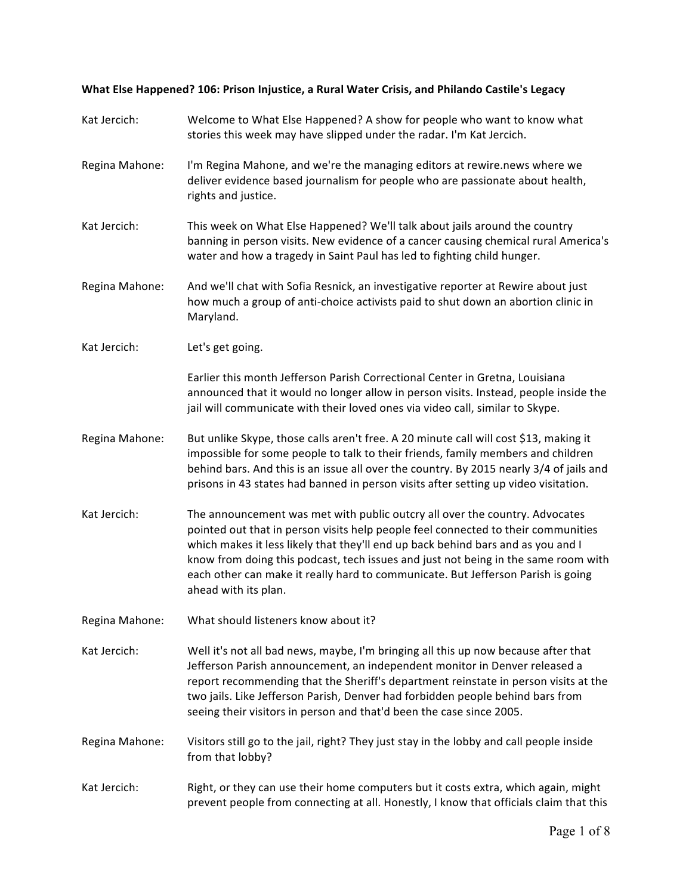## What Else Happened? 106: Prison Injustice, a Rural Water Crisis, and Philando Castile's Legacy

| Kat Jercich:   | Welcome to What Else Happened? A show for people who want to know what<br>stories this week may have slipped under the radar. I'm Kat Jercich.                                                                                                                                                                                                                                                                                                         |  |
|----------------|--------------------------------------------------------------------------------------------------------------------------------------------------------------------------------------------------------------------------------------------------------------------------------------------------------------------------------------------------------------------------------------------------------------------------------------------------------|--|
| Regina Mahone: | I'm Regina Mahone, and we're the managing editors at rewire.news where we<br>deliver evidence based journalism for people who are passionate about health,<br>rights and justice.                                                                                                                                                                                                                                                                      |  |
| Kat Jercich:   | This week on What Else Happened? We'll talk about jails around the country<br>banning in person visits. New evidence of a cancer causing chemical rural America's<br>water and how a tragedy in Saint Paul has led to fighting child hunger.                                                                                                                                                                                                           |  |
| Regina Mahone: | And we'll chat with Sofia Resnick, an investigative reporter at Rewire about just<br>how much a group of anti-choice activists paid to shut down an abortion clinic in<br>Maryland.                                                                                                                                                                                                                                                                    |  |
| Kat Jercich:   | Let's get going.                                                                                                                                                                                                                                                                                                                                                                                                                                       |  |
|                | Earlier this month Jefferson Parish Correctional Center in Gretna, Louisiana<br>announced that it would no longer allow in person visits. Instead, people inside the<br>jail will communicate with their loved ones via video call, similar to Skype.                                                                                                                                                                                                  |  |
| Regina Mahone: | But unlike Skype, those calls aren't free. A 20 minute call will cost \$13, making it<br>impossible for some people to talk to their friends, family members and children<br>behind bars. And this is an issue all over the country. By 2015 nearly 3/4 of jails and<br>prisons in 43 states had banned in person visits after setting up video visitation.                                                                                            |  |
| Kat Jercich:   | The announcement was met with public outcry all over the country. Advocates<br>pointed out that in person visits help people feel connected to their communities<br>which makes it less likely that they'll end up back behind bars and as you and I<br>know from doing this podcast, tech issues and just not being in the same room with<br>each other can make it really hard to communicate. But Jefferson Parish is going<br>ahead with its plan. |  |
| Regina Mahone: | What should listeners know about it?                                                                                                                                                                                                                                                                                                                                                                                                                   |  |
| Kat Jercich:   | Well it's not all bad news, maybe, I'm bringing all this up now because after that<br>Jefferson Parish announcement, an independent monitor in Denver released a<br>report recommending that the Sheriff's department reinstate in person visits at the<br>two jails. Like Jefferson Parish, Denver had forbidden people behind bars from<br>seeing their visitors in person and that'd been the case since 2005.                                      |  |
| Regina Mahone: | Visitors still go to the jail, right? They just stay in the lobby and call people inside<br>from that lobby?                                                                                                                                                                                                                                                                                                                                           |  |
| Kat Jercich:   | Right, or they can use their home computers but it costs extra, which again, might<br>prevent people from connecting at all. Honestly, I know that officials claim that this                                                                                                                                                                                                                                                                           |  |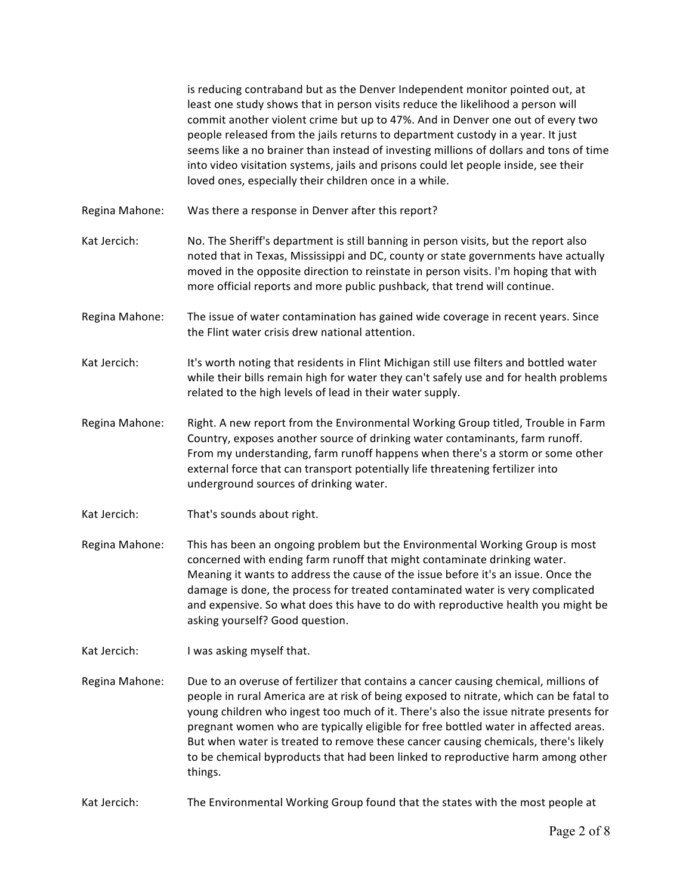is reducing contraband but as the Denver Independent monitor pointed out, at least one study shows that in person visits reduce the likelihood a person will commit another violent crime but up to 47%. And in Denver one out of every two people released from the jails returns to department custody in a year. It just seems like a no brainer than instead of investing millions of dollars and tons of time into video visitation systems, jails and prisons could let people inside, see their loved ones, especially their children once in a while.

- Regina Mahone: Was there a response in Denver after this report?
- Kat Jercich: No. The Sheriff's department is still banning in person visits, but the report also noted that in Texas, Mississippi and DC, county or state governments have actually moved in the opposite direction to reinstate in person visits. I'm hoping that with more official reports and more public pushback, that trend will continue.
- Regina Mahone: The issue of water contamination has gained wide coverage in recent years. Since the Flint water crisis drew national attention.
- Kat Jercich: It's worth noting that residents in Flint Michigan still use filters and bottled water while their bills remain high for water they can't safely use and for health problems related to the high levels of lead in their water supply.
- Regina Mahone: Right. A new report from the Environmental Working Group titled, Trouble in Farm Country, exposes another source of drinking water contaminants, farm runoff. From my understanding, farm runoff happens when there's a storm or some other external force that can transport potentially life threatening fertilizer into underground sources of drinking water.
- Kat Jercich: That's sounds about right.
- Regina Mahone: This has been an ongoing problem but the Environmental Working Group is most concerned with ending farm runoff that might contaminate drinking water. Meaning it wants to address the cause of the issue before it's an issue. Once the damage is done, the process for treated contaminated water is very complicated and expensive. So what does this have to do with reproductive health you might be asking yourself? Good question.
- Kat Jercich: I was asking myself that.
- Regina Mahone: Due to an overuse of fertilizer that contains a cancer causing chemical, millions of people in rural America are at risk of being exposed to nitrate, which can be fatal to young children who ingest too much of it. There's also the issue nitrate presents for pregnant women who are typically eligible for free bottled water in affected areas. But when water is treated to remove these cancer causing chemicals, there's likely to be chemical byproducts that had been linked to reproductive harm among other things.
- Kat Jercich: The Environmental Working Group found that the states with the most people at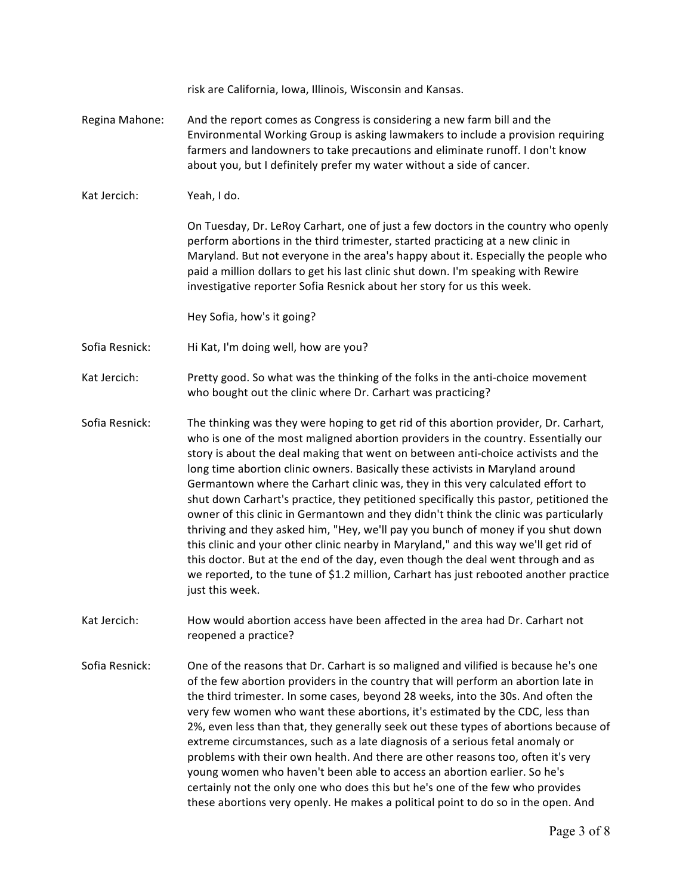risk are California, Iowa, Illinois, Wisconsin and Kansas. Regina Mahone: And the report comes as Congress is considering a new farm bill and the Environmental Working Group is asking lawmakers to include a provision requiring farmers and landowners to take precautions and eliminate runoff. I don't know about you, but I definitely prefer my water without a side of cancer. Kat Jercich: Yeah, I do. On Tuesday, Dr. LeRoy Carhart, one of just a few doctors in the country who openly perform abortions in the third trimester, started practicing at a new clinic in Maryland. But not everyone in the area's happy about it. Especially the people who paid a million dollars to get his last clinic shut down. I'm speaking with Rewire investigative reporter Sofia Resnick about her story for us this week. Hey Sofia, how's it going? Sofia Resnick: Hi Kat, I'm doing well, how are you? Kat Jercich: Pretty good. So what was the thinking of the folks in the anti-choice movement who bought out the clinic where Dr. Carhart was practicing? Sofia Resnick: The thinking was they were hoping to get rid of this abortion provider, Dr. Carhart, who is one of the most maligned abortion providers in the country. Essentially our story is about the deal making that went on between anti-choice activists and the long time abortion clinic owners. Basically these activists in Maryland around Germantown where the Carhart clinic was, they in this very calculated effort to shut down Carhart's practice, they petitioned specifically this pastor, petitioned the owner of this clinic in Germantown and they didn't think the clinic was particularly thriving and they asked him, "Hey, we'll pay you bunch of money if you shut down this clinic and your other clinic nearby in Maryland," and this way we'll get rid of this doctor. But at the end of the day, even though the deal went through and as we reported, to the tune of \$1.2 million, Carhart has just rebooted another practice just this week. Kat Jercich: How would abortion access have been affected in the area had Dr. Carhart not reopened a practice? Sofia Resnick: One of the reasons that Dr. Carhart is so maligned and vilified is because he's one of the few abortion providers in the country that will perform an abortion late in the third trimester. In some cases, beyond 28 weeks, into the 30s. And often the very few women who want these abortions, it's estimated by the CDC, less than 2%, even less than that, they generally seek out these types of abortions because of extreme circumstances, such as a late diagnosis of a serious fetal anomaly or problems with their own health. And there are other reasons too, often it's very young women who haven't been able to access an abortion earlier. So he's certainly not the only one who does this but he's one of the few who provides

these abortions very openly. He makes a political point to do so in the open. And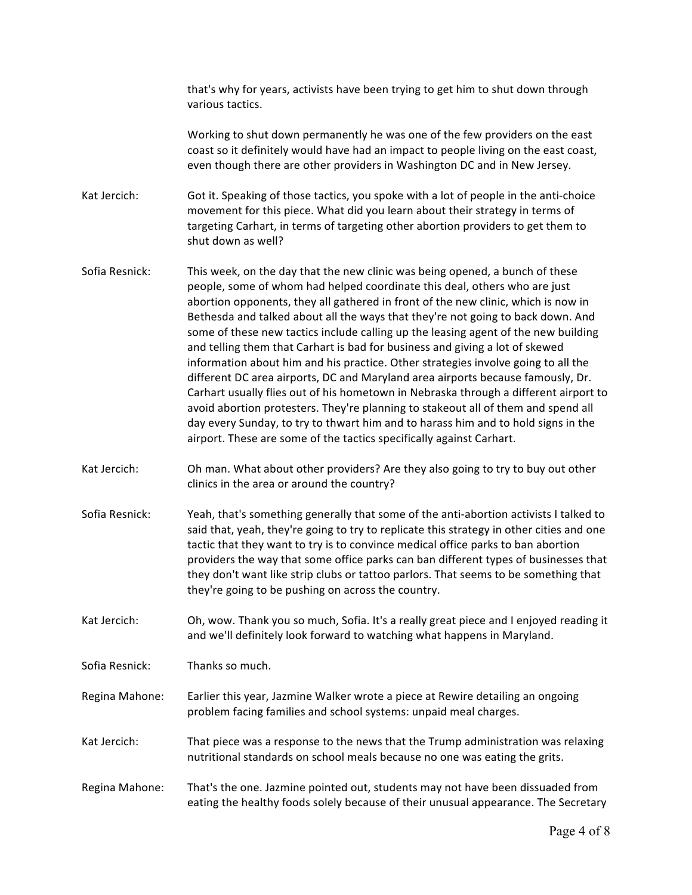that's why for years, activists have been trying to get him to shut down through various tactics.

Working to shut down permanently he was one of the few providers on the east coast so it definitely would have had an impact to people living on the east coast, even though there are other providers in Washington DC and in New Jersey.

Kat Jercich: Got it. Speaking of those tactics, you spoke with a lot of people in the anti-choice movement for this piece. What did you learn about their strategy in terms of targeting Carhart, in terms of targeting other abortion providers to get them to shut down as well?

- Sofia Resnick: This week, on the day that the new clinic was being opened, a bunch of these people, some of whom had helped coordinate this deal, others who are just abortion opponents, they all gathered in front of the new clinic, which is now in Bethesda and talked about all the ways that they're not going to back down. And some of these new tactics include calling up the leasing agent of the new building and telling them that Carhart is bad for business and giving a lot of skewed information about him and his practice. Other strategies involve going to all the different DC area airports, DC and Maryland area airports because famously, Dr. Carhart usually flies out of his hometown in Nebraska through a different airport to avoid abortion protesters. They're planning to stakeout all of them and spend all day every Sunday, to try to thwart him and to harass him and to hold signs in the airport. These are some of the tactics specifically against Carhart.
- Kat Jercich: Oh man. What about other providers? Are they also going to try to buy out other clinics in the area or around the country?
- Sofia Resnick: Yeah, that's something generally that some of the anti-abortion activists I talked to said that, yeah, they're going to try to replicate this strategy in other cities and one tactic that they want to try is to convince medical office parks to ban abortion providers the way that some office parks can ban different types of businesses that they don't want like strip clubs or tattoo parlors. That seems to be something that they're going to be pushing on across the country.

Kat Jercich: Oh, wow. Thank you so much, Sofia. It's a really great piece and I enjoyed reading it and we'll definitely look forward to watching what happens in Maryland.

Sofia Resnick: Thanks so much.

Regina Mahone: Earlier this year, Jazmine Walker wrote a piece at Rewire detailing an ongoing problem facing families and school systems: unpaid meal charges.

Kat Jercich: That piece was a response to the news that the Trump administration was relaxing nutritional standards on school meals because no one was eating the grits.

Regina Mahone: That's the one. Jazmine pointed out, students may not have been dissuaded from eating the healthy foods solely because of their unusual appearance. The Secretary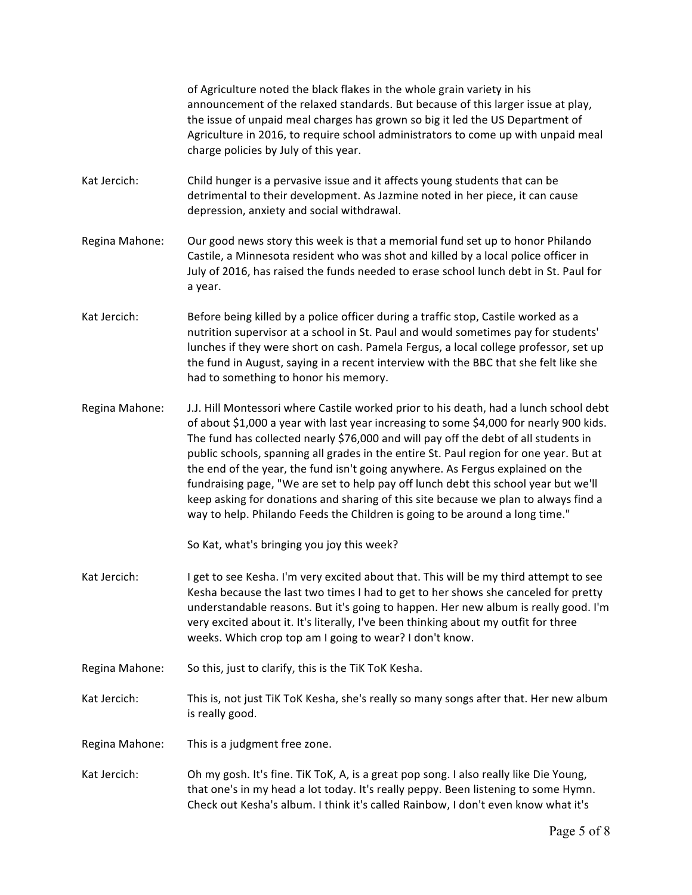of Agriculture noted the black flakes in the whole grain variety in his announcement of the relaxed standards. But because of this larger issue at play, the issue of unpaid meal charges has grown so big it led the US Department of Agriculture in 2016, to require school administrators to come up with unpaid meal charge policies by July of this year. Kat Jercich: Child hunger is a pervasive issue and it affects young students that can be detrimental to their development. As Jazmine noted in her piece, it can cause depression, anxiety and social withdrawal. Regina Mahone: Our good news story this week is that a memorial fund set up to honor Philando Castile, a Minnesota resident who was shot and killed by a local police officer in July of 2016, has raised the funds needed to erase school lunch debt in St. Paul for a year. Kat Jercich: Before being killed by a police officer during a traffic stop, Castile worked as a nutrition supervisor at a school in St. Paul and would sometimes pay for students' lunches if they were short on cash. Pamela Fergus, a local college professor, set up the fund in August, saying in a recent interview with the BBC that she felt like she had to something to honor his memory. Regina Mahone: J.J. Hill Montessori where Castile worked prior to his death, had a lunch school debt of about \$1,000 a year with last year increasing to some \$4,000 for nearly 900 kids. The fund has collected nearly \$76,000 and will pay off the debt of all students in public schools, spanning all grades in the entire St. Paul region for one year. But at the end of the year, the fund isn't going anywhere. As Fergus explained on the fundraising page, "We are set to help pay off lunch debt this school year but we'll keep asking for donations and sharing of this site because we plan to always find a way to help. Philando Feeds the Children is going to be around a long time." So Kat, what's bringing you joy this week? Kat Jercich: I get to see Kesha. I'm very excited about that. This will be my third attempt to see Kesha because the last two times I had to get to her shows she canceled for pretty understandable reasons. But it's going to happen. Her new album is really good. I'm very excited about it. It's literally, I've been thinking about my outfit for three weeks. Which crop top am I going to wear? I don't know. Regina Mahone: So this, just to clarify, this is the TiK ToK Kesha. Kat Jercich: This is, not just TiK ToK Kesha, she's really so many songs after that. Her new album is really good. Regina Mahone: This is a judgment free zone. Kat Jercich: Oh my gosh. It's fine. TiK ToK, A, is a great pop song. I also really like Die Young, that one's in my head a lot today. It's really peppy. Been listening to some Hymn. Check out Kesha's album. I think it's called Rainbow, I don't even know what it's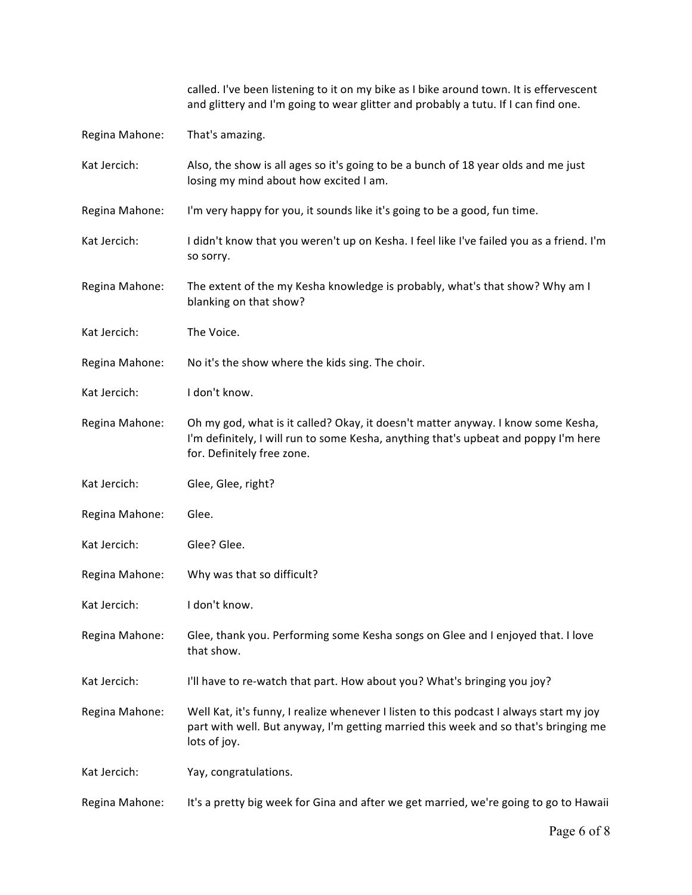|                | called. I've been listening to it on my bike as I bike around town. It is effervescent<br>and glittery and I'm going to wear glitter and probably a tutu. If I can find one.                          |
|----------------|-------------------------------------------------------------------------------------------------------------------------------------------------------------------------------------------------------|
| Regina Mahone: | That's amazing.                                                                                                                                                                                       |
| Kat Jercich:   | Also, the show is all ages so it's going to be a bunch of 18 year olds and me just<br>losing my mind about how excited I am.                                                                          |
| Regina Mahone: | I'm very happy for you, it sounds like it's going to be a good, fun time.                                                                                                                             |
| Kat Jercich:   | I didn't know that you weren't up on Kesha. I feel like I've failed you as a friend. I'm<br>so sorry.                                                                                                 |
| Regina Mahone: | The extent of the my Kesha knowledge is probably, what's that show? Why am I<br>blanking on that show?                                                                                                |
| Kat Jercich:   | The Voice.                                                                                                                                                                                            |
| Regina Mahone: | No it's the show where the kids sing. The choir.                                                                                                                                                      |
| Kat Jercich:   | I don't know.                                                                                                                                                                                         |
| Regina Mahone: | Oh my god, what is it called? Okay, it doesn't matter anyway. I know some Kesha,<br>I'm definitely, I will run to some Kesha, anything that's upbeat and poppy I'm here<br>for. Definitely free zone. |
| Kat Jercich:   | Glee, Glee, right?                                                                                                                                                                                    |
| Regina Mahone: | Glee.                                                                                                                                                                                                 |
| Kat Jercich:   | Glee? Glee.                                                                                                                                                                                           |
| Regina Mahone: | Why was that so difficult?                                                                                                                                                                            |
| Kat Jercich:   | I don't know.                                                                                                                                                                                         |
| Regina Mahone: | Glee, thank you. Performing some Kesha songs on Glee and I enjoyed that. I love<br>that show.                                                                                                         |
| Kat Jercich:   | I'll have to re-watch that part. How about you? What's bringing you joy?                                                                                                                              |
| Regina Mahone: | Well Kat, it's funny, I realize whenever I listen to this podcast I always start my joy<br>part with well. But anyway, I'm getting married this week and so that's bringing me<br>lots of joy.        |
| Kat Jercich:   | Yay, congratulations.                                                                                                                                                                                 |
| Regina Mahone: | It's a pretty big week for Gina and after we get married, we're going to go to Hawaii                                                                                                                 |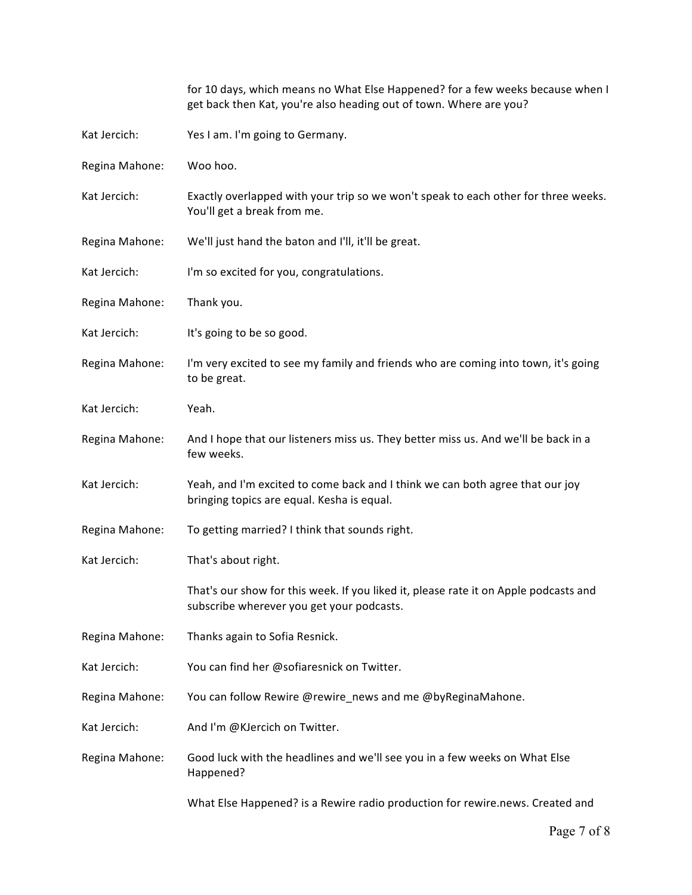|                | for 10 days, which means no What Else Happened? for a few weeks because when I<br>get back then Kat, you're also heading out of town. Where are you? |  |
|----------------|------------------------------------------------------------------------------------------------------------------------------------------------------|--|
| Kat Jercich:   | Yes I am. I'm going to Germany.                                                                                                                      |  |
| Regina Mahone: | Woo hoo.                                                                                                                                             |  |
| Kat Jercich:   | Exactly overlapped with your trip so we won't speak to each other for three weeks.<br>You'll get a break from me.                                    |  |
| Regina Mahone: | We'll just hand the baton and I'll, it'll be great.                                                                                                  |  |
| Kat Jercich:   | I'm so excited for you, congratulations.                                                                                                             |  |
| Regina Mahone: | Thank you.                                                                                                                                           |  |
| Kat Jercich:   | It's going to be so good.                                                                                                                            |  |
| Regina Mahone: | I'm very excited to see my family and friends who are coming into town, it's going<br>to be great.                                                   |  |
| Kat Jercich:   | Yeah.                                                                                                                                                |  |
| Regina Mahone: | And I hope that our listeners miss us. They better miss us. And we'll be back in a<br>few weeks.                                                     |  |
| Kat Jercich:   | Yeah, and I'm excited to come back and I think we can both agree that our joy<br>bringing topics are equal. Kesha is equal.                          |  |
| Regina Mahone: | To getting married? I think that sounds right.                                                                                                       |  |
| Kat Jercich:   | That's about right.                                                                                                                                  |  |
|                | That's our show for this week. If you liked it, please rate it on Apple podcasts and<br>subscribe wherever you get your podcasts.                    |  |
| Regina Mahone: | Thanks again to Sofia Resnick.                                                                                                                       |  |
| Kat Jercich:   | You can find her @sofiaresnick on Twitter.                                                                                                           |  |
| Regina Mahone: | You can follow Rewire @rewire news and me @byReginaMahone.                                                                                           |  |
| Kat Jercich:   | And I'm @KJercich on Twitter.                                                                                                                        |  |
| Regina Mahone: | Good luck with the headlines and we'll see you in a few weeks on What Else<br>Happened?                                                              |  |
|                | What Else Happened? is a Rewire radio production for rewire.news. Created and                                                                        |  |